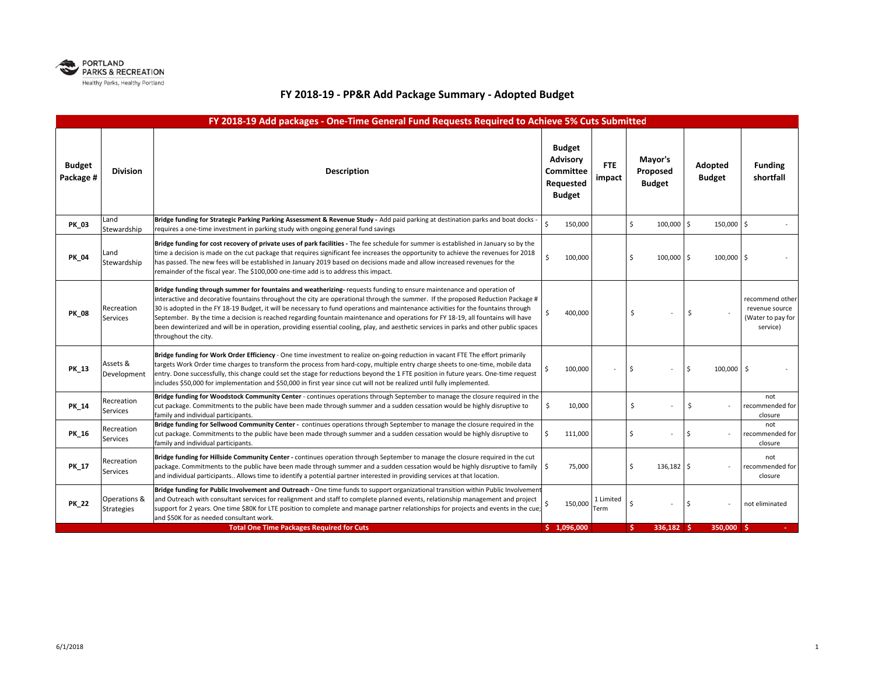

## **FY 2018‐19 ‐ PP&R Add Package Summary ‐ Adopted Budget**

| FY 2018-19 Add packages - One-Time General Fund Requests Required to Achieve 5% Cuts Submitted |                                   |                                                                                                                                                                                                                                                                                                                                                                                                                                                                                                                                                                                                                                                                                                      |                                                                                              |                   |                                      |                          |                                                                    |  |  |
|------------------------------------------------------------------------------------------------|-----------------------------------|------------------------------------------------------------------------------------------------------------------------------------------------------------------------------------------------------------------------------------------------------------------------------------------------------------------------------------------------------------------------------------------------------------------------------------------------------------------------------------------------------------------------------------------------------------------------------------------------------------------------------------------------------------------------------------------------------|----------------------------------------------------------------------------------------------|-------------------|--------------------------------------|--------------------------|--------------------------------------------------------------------|--|--|
| <b>Budget</b><br>Package #                                                                     | <b>Division</b>                   | <b>Description</b>                                                                                                                                                                                                                                                                                                                                                                                                                                                                                                                                                                                                                                                                                   | <b>Budget</b><br>Advisory<br><b>FTE</b><br>Committee<br>impact<br>Requested<br><b>Budget</b> |                   | Mayor's<br>Proposed<br><b>Budget</b> | Adopted<br><b>Budget</b> | <b>Funding</b><br>shortfall                                        |  |  |
| <b>PK 03</b>                                                                                   | Land<br>Stewardship               | Bridge funding for Strategic Parking Parking Assessment & Revenue Study - Add paid parking at destination parks and boat docks<br>requires a one-time investment in parking study with ongoing general fund savings                                                                                                                                                                                                                                                                                                                                                                                                                                                                                  | $\zeta$<br>150,000                                                                           |                   | \$<br>100,000                        | 150,000 \$<br>۱Ś         |                                                                    |  |  |
| PK_04                                                                                          | Land<br>Stewardship               | Bridge funding for cost recovery of private uses of park facilities - The fee schedule for summer is established in January so by the<br>time a decision is made on the cut package that requires significant fee increases the opportunity to achieve the revenues for 2018<br>has passed. The new fees will be established in January 2019 based on decisions made and allow increased revenues for the<br>remainder of the fiscal year. The \$100,000 one-time add is to address this impact.                                                                                                                                                                                                     | Ś<br>100,000                                                                                 |                   | \$<br>100,000                        | l s<br>100,000 \$        |                                                                    |  |  |
| <b>PK_08</b>                                                                                   | Recreation<br>Services            | Bridge funding through summer for fountains and weatherizing-requests funding to ensure maintenance and operation of<br>interactive and decorative fountains throughout the city are operational through the summer. If the proposed Reduction Package #<br>30 is adopted in the FY 18-19 Budget, it will be necessary to fund operations and maintenance activities for the fountains through<br>September. By the time a decision is reached regarding fountain maintenance and operations for FY 18-19, all fountains will have<br>been dewinterized and will be in operation, providing essential cooling, play, and aesthetic services in parks and other public spaces<br>throughout the city. | 400,000                                                                                      |                   | \$                                   | \$                       | recommend other<br>revenue source<br>(Water to pay for<br>service) |  |  |
| <b>PK_13</b>                                                                                   | Assets &<br>Development           | Bridge funding for Work Order Efficiency - One time investment to realize on-going reduction in vacant FTE The effort primarily<br>targets Work Order time charges to transform the process from hard-copy, multiple entry charge sheets to one-time, mobile data<br>entry. Done successfully, this change could set the stage for reductions beyond the 1 FTE position in future years. One-time request<br>includes \$50,000 for implementation and \$50,000 in first year since cut will not be realized until fully implemented.                                                                                                                                                                 | 100,000                                                                                      |                   | \$                                   | Ŝ.<br>100,000 \$         |                                                                    |  |  |
| PK_14                                                                                          | Recreation<br>Services            | Bridge funding for Woodstock Community Center - continues operations through September to manage the closure required in the<br>cut package. Commitments to the public have been made through summer and a sudden cessation would be highly disruptive to<br>family and individual participants.                                                                                                                                                                                                                                                                                                                                                                                                     | Ś<br>10,000                                                                                  |                   | \$                                   | \$                       | not<br>recommended for<br>closure                                  |  |  |
| PK 16                                                                                          | Recreation<br>Services            | Bridge funding for Sellwood Community Center - continues operations through September to manage the closure required in the<br>cut package. Commitments to the public have been made through summer and a sudden cessation would be highly disruptive to<br>family and individual participants.                                                                                                                                                                                                                                                                                                                                                                                                      | 111,000<br>Ŝ.                                                                                |                   | \$                                   | Ś                        | not<br>recommended for<br>closure                                  |  |  |
| <b>PK_17</b>                                                                                   | Recreation<br>Services            | Bridge funding for Hillside Community Center - continues operation through September to manage the closure required in the cut<br>package. Commitments to the public have been made through summer and a sudden cessation would be highly disruptive to family   \$<br>and individual participants Allows time to identify a potential partner interested in providing services at that location.                                                                                                                                                                                                                                                                                                    | 75,000                                                                                       |                   | \$<br>136,182                        | ۱\$                      | not<br>recommended for<br>closure                                  |  |  |
| <b>PK_22</b>                                                                                   | Operations &<br><b>Strategies</b> | Bridge funding for Public Involvement and Outreach - One time funds to support organizational transition within Public Involvement<br>and Outreach with consultant services for realignment and staff to complete planned events, relationship management and project<br>support for 2 years. One time \$80K for LTE position to complete and manage partner relationships for projects and events in the cue;<br>and \$50K for as needed consultant work.                                                                                                                                                                                                                                           | 150,000                                                                                      | 1 Limited<br>Term | Ś                                    | Ś                        | not eliminated                                                     |  |  |
|                                                                                                |                                   | <b>Total One Time Packages Required for Cuts</b>                                                                                                                                                                                                                                                                                                                                                                                                                                                                                                                                                                                                                                                     | \$1.096.000                                                                                  |                   | Ś.<br>336,182 \$                     | 350,000 \$               |                                                                    |  |  |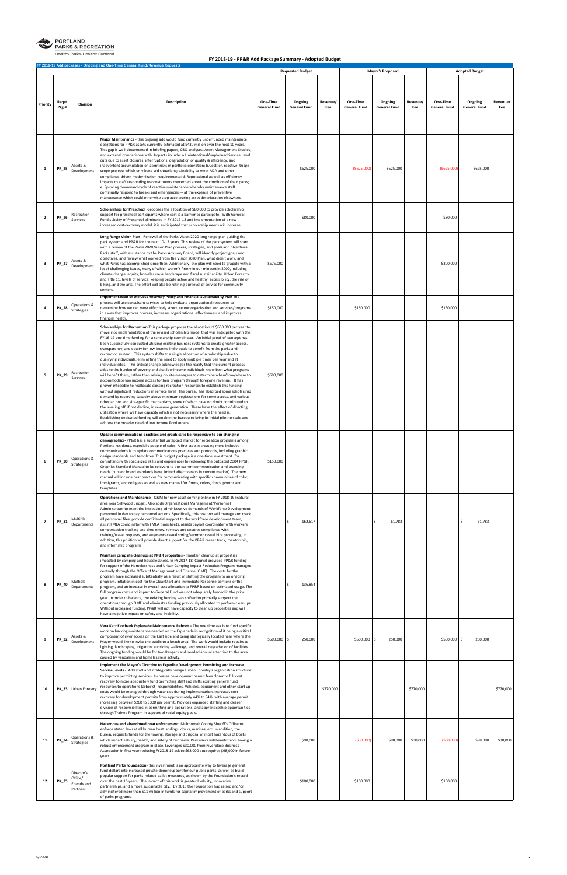

PORTLAND<br>PARKS & RECREATION

**Healthy Parks, Healthy Portland** 

|                |               |                                                  | FY 2018-19 Add packages - Ongoing and One-Time General Fund/Revenue Requests                                                                                                                                                                                                                                                                                                                                                                                                                                                                                                                                                                                                                                                                                                                                                                                                                                                                                                                                                                                                                                                                                                                                                                                                                                                                                                                                                                                                                                                                                                                                                                                                                                                            |                                 | <b>Requested Budget</b>        |                                                    | <b>Mayor's Proposed</b>        |                 |                                 | <b>Adopted Budget</b>          |                 |  |
|----------------|---------------|--------------------------------------------------|-----------------------------------------------------------------------------------------------------------------------------------------------------------------------------------------------------------------------------------------------------------------------------------------------------------------------------------------------------------------------------------------------------------------------------------------------------------------------------------------------------------------------------------------------------------------------------------------------------------------------------------------------------------------------------------------------------------------------------------------------------------------------------------------------------------------------------------------------------------------------------------------------------------------------------------------------------------------------------------------------------------------------------------------------------------------------------------------------------------------------------------------------------------------------------------------------------------------------------------------------------------------------------------------------------------------------------------------------------------------------------------------------------------------------------------------------------------------------------------------------------------------------------------------------------------------------------------------------------------------------------------------------------------------------------------------------------------------------------------------|---------------------------------|--------------------------------|----------------------------------------------------|--------------------------------|-----------------|---------------------------------|--------------------------------|-----------------|--|
| Priority       | Regst<br>Pkg# | <b>Division</b>                                  | Description                                                                                                                                                                                                                                                                                                                                                                                                                                                                                                                                                                                                                                                                                                                                                                                                                                                                                                                                                                                                                                                                                                                                                                                                                                                                                                                                                                                                                                                                                                                                                                                                                                                                                                                             | One-Time<br><b>General Fund</b> | Ongoing<br><b>General Fund</b> | Revenue/<br>One-Time<br>Fee<br><b>General Fund</b> | Ongoing<br><b>General Fund</b> | Revenue/<br>Fee | One-Time<br><b>General Fund</b> | Ongoing<br><b>General Fund</b> | Revenue/<br>Fee |  |
| 1              | <b>PK_25</b>  | Assets &<br>Development                          | Major Maintenance - this ongoing add would fund currently underfunded maintenance<br>obligations for PP&R assets currently estimated at \$430 million over the next 10 years.<br>This gap is well-documented in briefing papers, CBO analyses, Asset Management Studies,<br>and external comparisons with. Impacts include: a.Unintentional/unplanned Service Level<br>cuts due to asset closures, interruptions, degradation of quality & efficiency, and<br>inadvertent accumulation of latent risks in portfolio operation; b.Costlier, reactive, triage-<br>scope projects which only band-aid situations; c.Inability to meet ADA and other<br>compliance-driven modernization requirements; d. Reputational as well as efficiency<br>impacts to staff responding to constituents concerned about the condition of their parks;<br>e. Spiraling downward cycle of reactive maintenance whereby maintenance staff<br>continually respond to breaks and emergencies -- at the expense of preventive<br>maintenance which could otherwise stop accelerating asset deterioration elsewhere.                                                                                                                                                                                                                                                                                                                                                                                                                                                                                                                                                                                                                                            |                                 | \$625,000                      | ( \$625,000]                                       | \$625,000                      |                 | ( \$625,000                     | \$625,000                      |                 |  |
| $\overline{2}$ | <b>PK_26</b>  | Recreation<br>Services                           | Scholarships for Preschool -proposes the allocation of \$80,000 to provide scholarship<br>support for preschool participants where cost is a barrier to participate. With General<br>Fund subsidy of Preschool eliminated in FY 2017-18 and implementation of a new<br>increased cost-recovery model, it is aniticipated that scholarship needs will increase.                                                                                                                                                                                                                                                                                                                                                                                                                                                                                                                                                                                                                                                                                                                                                                                                                                                                                                                                                                                                                                                                                                                                                                                                                                                                                                                                                                          |                                 | \$80,000                       |                                                    |                                |                 | \$80,000                        |                                |                 |  |
| 3              | <b>PK_27</b>  | Assets &<br>Development                          | Long Range Vision Plan - Renewal of the Parks Vision 2020 long range plan guiding the<br>park system and PP&R for the next 10-12 years. This review of the park system will start<br>with a review of the Parks 2020 Vision Plan process, strategies, and goals and objectives.<br>Parks staff, with assistance by the Parks Advisory Board, will identify project goals and<br>objectives, and review what worked from the Vision 2020 Plan, what didn't work, and<br>what Parks has accomplished since then. Additionally, the plan will need to grapple with a<br>lot of challenging issues, many of which weren't firmly in our mindset in 2000, including<br>climate change, equity, homelessness, landscape and fiscal sustainability, Urban Forestry<br>and Title 11, levels of service, keeping people active and healthy, accessibility, the rise of<br>biking, and the arts. The effort will also be refining our level of service for community<br>centers.                                                                                                                                                                                                                                                                                                                                                                                                                                                                                                                                                                                                                                                                                                                                                                  | \$575,000                       |                                |                                                    |                                |                 | \$300,000                       |                                |                 |  |
| $\overline{a}$ | <b>PK_28</b>  | Operations &<br>Strategies                       | Implementation of the Cost Recovery Policy and Financial Sustainability Plan The<br>process will use consultant services to help evaluate organizational resources to<br>determine how we can most effectively structure our organization and services/programs<br>in a way that improves process, increases organizational effectiveness and improves<br>financial health.                                                                                                                                                                                                                                                                                                                                                                                                                                                                                                                                                                                                                                                                                                                                                                                                                                                                                                                                                                                                                                                                                                                                                                                                                                                                                                                                                             | \$150,000                       |                                | \$150,000                                          |                                |                 | \$150,000                       |                                |                 |  |
| 5              | PK_29         | Recreation<br>Services                           | Scholarships for Recreation-This package proposes the allocation of \$600,000 per year to<br>move into implementation of the revised scholarship model that was anticipated with the<br>FY 16-17 one time funding for a scholarship coordinator. An initial proof-of-concept has<br>been successfully conducted utilizing existing business systems to create greater access,<br>transparency, and equity for low-income individuals to benefit from the parks and<br>recreation system. This system shifts to a single allocation of scholarship value to<br>qualifying individuals, eliminating the need to apply multiple times per year and at<br>individual sites. This critical change acknowledges the reality that the current process<br>adds to the burden of poverty and that low income individuals know best what programs<br>will benefit them, rather than relying on site managers to determine when/how/where to<br>accommodate low income access to their program through foregone revenue. It has<br>proven infeasible to reallocate existing recreation resources to establish this funding<br>without significant reductions in service level. The bureau has absorbed some scholarship<br>demand by reserving capacity above minimum registrations for some access, and various<br>other ad hoc and site-specific mechanisms, some of which have no doubt contributed to<br>the leveling off, if not decline, in revenue generation. These have the effect of directing<br>utilization where we have capacity which is not necessarily where the need is.<br>Establishing dedicated funding will enable the bureau to bring its initial pilot to scale and<br>address the broader need of low income Portlanders. | \$600,000                       |                                |                                                    |                                |                 |                                 |                                |                 |  |
| 6              | PK_30         | Operations &<br><b>Strategies</b>                | Update communications practices and graphics to be responsive to our changing<br>demographics-PP&R has a substantial untapped market for recreation programs among<br>Portland residents, especially people of color. A first step in creating more inclusive<br>communications is to update communications practices and protocols, including graphic<br>design standards and templates. This budget package is a one-time investment (for<br>consultants with specialized skills and experience) to redevelop the outdated 2004 PP&R<br>Graphics Standard Manual to be relevant to our current communication and branding<br>needs (current brand standards have limited effectiveness in current market). The new<br>manual will include best practices for communicating with specific communities of color,<br>immigrants, and refugees as well as new manual for forms, colors, fonts, photos and<br>templates.                                                                                                                                                                                                                                                                                                                                                                                                                                                                                                                                                                                                                                                                                                                                                                                                                   | \$150,000                       |                                |                                                    |                                |                 |                                 |                                |                 |  |
| $\overline{7}$ | PK_31         | Multiple<br>Departments                          | Operations and Maintenance - O&M for new asset coming online in FY 2018-19 (natural<br>area near Sellwood Bridge). Also adds Organizational Management/Personnel<br>Administrator to meet the increasing administrative demands of Workforce Development<br>personnel in day to day personnel actions. Specifically, this position will manage and track<br>all personnel files, provide confidential support to the workforce development team,<br>assist FMLA coordinator with FMLA timesheets, assists payroll coordinator with workers<br>compensation tracking and time entry, reviews and ensures compliance with<br>training/travel requests, and augments casual spring/summer casual hire processing. In<br>addition, this position will provide direct support for the PP&R career track, mentorship,<br>and internship programs                                                                                                                                                                                                                                                                                                                                                                                                                                                                                                                                                                                                                                                                                                                                                                                                                                                                                              |                                 | 162,617<br>Ś                   |                                                    | \$<br>61,783                   |                 |                                 | 61,783                         |                 |  |
| 8              | PK_40         | Multiple<br>Departments                          | Maintain campsite cleanups at PP&R properties - maintain cleanup at properties<br>impacted by camping and houselessness. In FY 2017-18, Council provided PP&R funding<br>for support of the Homelessness and Urban Camping Impact Reduction Program managed<br>centrally through the Office of Management and Finance (OMF). The costs for the<br>program have increased substantially as a result of shifting the program to an ongoing<br>program, inflation in cost for the CleanStart and Immediate Response portions of the<br>program, and an increase in overall cost allocation to PP&R based on estimated usage. The<br>full program costs and impact to General Fund was not adequately funded in the prior<br>year. In order to balance, the existing funding was shifted to primarily support the<br>operations through OMF and eliminates funding previously allocated to perform cleanups.<br>Without increased funding, PP&R will not have capacity to clean up properties and will<br>have a negative impact on safety and livability.                                                                                                                                                                                                                                                                                                                                                                                                                                                                                                                                                                                                                                                                                  |                                 | Ś<br>136,854                   |                                                    |                                |                 |                                 |                                |                 |  |
| 9              | PK_32         | Assets &<br>Development                          | Vera Katz Eastbank Esplanade Maintenance Reboot - The one time ask is to fund specific<br>work on backlog maintenance needed on the Esplanade in recognition of it being a critical<br>component of river access on the East side and being strategically located near where the<br>Mayor would like to invite the public to a beach area. The work would include repairs to<br>lighting, landscaping, irrigation, subsiding walkways, and overall degradation of facilities.<br>The ongoing funding would be for two Rangers and needed annual attention to the area<br>caused by vandalism and homelessness activity.                                                                                                                                                                                                                                                                                                                                                                                                                                                                                                                                                                                                                                                                                                                                                                                                                                                                                                                                                                                                                                                                                                                 | \$500,000 \$                    | 250,000                        | \$500,000 \$                                       | 250,000                        |                 | \$500,000                       | \$<br>200,000                  |                 |  |
| 10             | PK_33         | Urban Forestry                                   | Implement the Mayor's Directive to Expedite Development Permitting and Increase<br>Service Levels - Add staff and strategically realign Urban Forestry's organization structure<br>to improve permitting services. Increases development permit fees closer to full cost<br>recovery to more adequately fund permitting staff and shifts existing general fund<br>resources to operations (arborist) responsibilities. Vehicles, equipment and other start up<br>costs would be managed through vacancies during implementation. Increases cost<br>recovery for development permits from approximately 44% to 84%, with average permit<br>increasing between \$200 to \$300 per permit. Provides expanded staffing and clearer<br>division of responsibilities in permitting and operations, and apprenticeship opportunities<br>through Trainee Program in support of racial equity goals.                                                                                                                                                                                                                                                                                                                                                                                                                                                                                                                                                                                                                                                                                                                                                                                                                                             |                                 |                                | \$770,000                                          |                                | \$770,000       |                                 |                                | \$770,000       |  |
| 11             | PK_34         | Operations &<br>Strategies                       | Hazardous and abandoned boat enforcement. Multnomah County Sheriff's Office to<br>enforce stated laws at all bureau boat landings, docks, marinas, etc. In addition, the<br>bureau requests funds for the towing, storage and disposal of most hazardous of boats,<br>which impact liability, health, and safety of our parks. Park users will benefit from having a<br>robust enforcement program in place. Leverages \$30,000 from Riverplace Business<br>Association in first year reducing FY2018-19 ask to \$68,000 but requires \$98,000 in future<br>years.                                                                                                                                                                                                                                                                                                                                                                                                                                                                                                                                                                                                                                                                                                                                                                                                                                                                                                                                                                                                                                                                                                                                                                      |                                 | \$98,000                       | ( \$30,000]                                        | \$98,000                       | \$30,000        | ( \$30,000)                     | \$98,000                       | \$30,000        |  |
| 12             | <b>PK_35</b>  | Director's<br>Office/<br>Friends and<br>Partners | Portland Parks Foundation-this investment is an appropriate way to leverage general<br>fund dollars into increased private donor support for our public parks, as well as build<br>popular support for parks-related ballot measures, as shown by the Foundation's record<br>over the past 16 years. The impact of this work is greater livability, innovative<br>partnerships, and a more sustainable city. By 2016 the Foundation had raised and/or<br>administered more than \$11 million in funds for capital improvement of parks and support<br>of parks programs.                                                                                                                                                                                                                                                                                                                                                                                                                                                                                                                                                                                                                                                                                                                                                                                                                                                                                                                                                                                                                                                                                                                                                                |                                 | \$100,000                      | \$100,000                                          |                                |                 | \$100,000                       |                                |                 |  |

## **FY 2018‐19 ‐ PP&R Add Package Summary ‐ Adopted Budget**